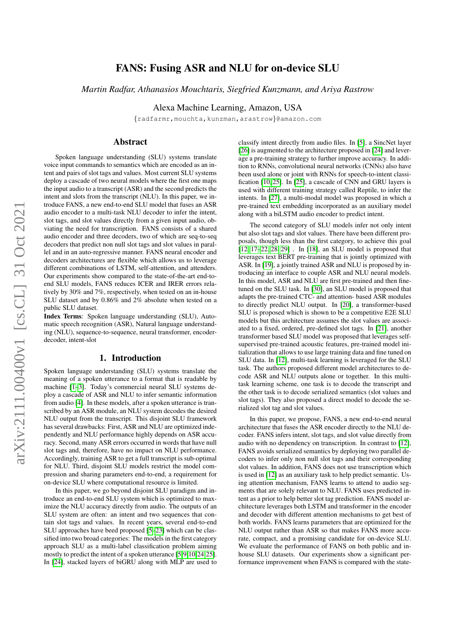# arXiv:2111.00400v1 [cs.CL] 31 Oct 2021 arXiv:2111.00400v1 [cs.CL] 31 Oct 2021

# FANS: Fusing ASR and NLU for on-device SLU

*Martin Radfar, Athanasios Mouchtaris, Siegfried Kunzmann, and Ariya Rastrow*

Alexa Machine Learning, Amazon, USA

{radfarmr,mouchta,kunzman,arastrow}@amazon.com

# Abstract

Spoken language understanding (SLU) systems translate voice input commands to semantics which are encoded as an intent and pairs of slot tags and values. Most current SLU systems deploy a cascade of two neural models where the first one maps the input audio to a transcript (ASR) and the second predicts the intent and slots from the transcript (NLU). In this paper, we introduce FANS, a new end-to-end SLU model that fuses an ASR audio encoder to a multi-task NLU decoder to infer the intent, slot tags, and slot values directly from a given input audio, obviating the need for transcription. FANS consists of a shared audio encoder and three decoders, two of which are seq-to-seq decoders that predict non null slot tags and slot values in parallel and in an auto-regressive manner. FANS neural encoder and decoders architectures are flexible which allows us to leverage different combinations of LSTM, self-attention, and attenders. Our experiments show compared to the state-of-the-art end-toend SLU models, FANS reduces ICER and IRER errors relatively by 30% and 7%, respectively, when tested on an in-house SLU dataset and by 0.86% and 2% absolute when tested on a public SLU dataset.

Index Terms: Spoken language understanding (SLU), Automatic speech recognition (ASR), Natural language understanding (NLU), sequence-to-sequence, neural transformer, encoderdecoder, intent-slot

## 1. Introduction

Spoken language understanding (SLU) systems translate the meaning of a spoken utterance to a format that is readable by machine [\[1–](#page-3-0)[3\]](#page-3-1). Today's commercial neural SLU systems deploy a cascade of ASR and NLU to infer semantic information from audio [\[4\]](#page-3-2). In these models, after a spoken utterance is transcribed by an ASR module, an NLU system decodes the desired NLU output from the transcript. This disjoint SLU framework has several drawbacks: First, ASR and NLU are optimized independently and NLU performance highly depends on ASR accuracy. Second, many ASR errors occurred in words that have null slot tags and, therefore, have no impact on NLU performance. Accordingly, training ASR to get a full transcript is sub-optimal for NLU. Third, disjoint SLU models restrict the model compression and sharing parameters end-to-end, a requirement for on-device SLU where computational resource is limited.

In this paper, we go beyond disjoint SLU paradigm and introduce an end-to-end SLU system which is optimized to maximize the NLU accuracy directly from audio. The outputs of an SLU system are often: an intent and two sequences that contain slot tags and values. In recent years, several end-to-end SLU approaches have beed proposed [\[5–](#page-4-0)[23\]](#page-4-1) which can be classified into two broad categories: The models in the first category approach SLU as a multi-label classification problem aiming mostly to predict the intent of a spoken utterance [\[5,](#page-4-0)[9,](#page-4-2)[10,](#page-4-3)[24,](#page-4-4)[25\]](#page-4-5). In [\[24\]](#page-4-4), stacked layers of biGRU along with MLP are used to

classify intent directly from audio files. In [\[5\]](#page-4-0), a SincNet layer [\[26\]](#page-4-6) is augmented to the architecture proposed in [\[24\]](#page-4-4) and leverage a pre-training strategy to further improve accuracy. In addition to RNNs, convolutional neural networks (CNNs) also have been used alone or joint with RNNs for speech-to-intent classification [\[10,](#page-4-3) [25\]](#page-4-5). In [\[25\]](#page-4-5), a cascade of CNN and GRU layers is used with different training strategy called Reptile, to infer the intents. In [\[27\]](#page-4-7), a multi-modal model was proposed in which a pre-trained text embedding incorporated as an auxiliary model along with a biLSTM audio encoder to predict intent.

The second category of SLU models infer not only intent but also slot tags and slot values. There have been different proposals, though less than the first category, to achieve this goal [\[12,](#page-4-8) [17–](#page-4-9)[22,](#page-4-10) [28,](#page-4-11) [29\]](#page-4-12) . In [\[18\]](#page-4-13), an SLU model is proposed that leverages text BERT pre-training that is jointly optimized with ASR. In [\[19\]](#page-4-14), a jointly trained ASR and NLU is proposed by introducing an interface to couple ASR and NLU neural models. In this model, ASR and NLU are first pre-trained and then finetuned on the SLU task. In [\[30\]](#page-4-15), an SLU model is proposed that adapts the pre-trained CTC- and attention- based ASR modules to directly predict NLU output. In [\[20\]](#page-4-16), a transformer-based SLU is proposed which is shown to be a competitive E2E SLU models but this architecture assumes the slot values are associated to a fixed, ordered, pre-defined slot tags. In [\[21\]](#page-4-17), another transformer based SLU model was proposed that leverages selfsupervised pre-trained acoustic features, pre-trained model initialization that allows to use large training data and fine tuned on SLU data. In [\[12\]](#page-4-8), multi-task learning is leveraged for the SLU task. The authors proposed different model architectures to decode ASR and NLU outputs alone or together. In this multitask learning scheme, one task is to decode the transcript and the other task is to decode serialized semantics (slot values and slot tags). They also proposed a direct model to decode the serialized slot tag and slot values.

In this paper, we propose, FANS, a new end-to-end neural architecture that fuses the ASR encoder directly to the NLU decoder. FANS infers intent, slot tags, and slot value directly from audio with no dependency on transcription. In contrast to [\[12\]](#page-4-8), FANS avoids serialized semantics by deploying two parallel decoders to infer only non null slot tags and their corresponding slot values. In addition, FANS does not use transcription which is used in [\[12\]](#page-4-8) as an auxiliary task to help predict semantic. Using attention mechanism, FANS learns to attend to audio segments that are solely relevant to NLU. FANS uses predicted intent as a prior to help better slot tag prediction. FANS model architecture leverages both LSTM and transformer in the encoder and decoder with different attention mechanisms to get best of both worlds. FANS learns parameters that are optimized for the NLU output rather than ASR so that makes FANS more accurate, compact, and a promising candidate for on-device SLU. We evaluate the performance of FANS on both public and inhouse SLU datasets. Our experiments show a significant performance improvement when FANS is compared with the state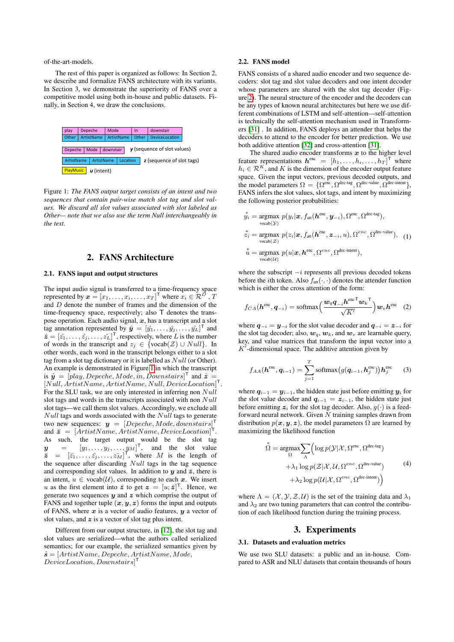of-the-art-models.

The rest of this paper is organized as follows: In Section 2, we describe and formalize FANS architecture with its variants. In Section 3, we demonstrate the superiority of FANS over a competitive model using both in-house and public datasets. Finally, in Section 4, we draw the conclusions.

<span id="page-1-0"></span>

Figure 1: *The FANS output target consists of an intent and two sequences that contain pair-wise match slot tag and slot values. We discard all slot values associated with slot labeled as Other— note that we also use the term Null interchangeably in the text.*

# 2. FANS Architecture

#### 2.1. FANS input and output structures

The input audio signal is transferred to a time-frequency space represented by  $\boldsymbol{x} = [x_1, \dots, x_i, \dots, x_T]^\mathsf{T}$  where  $x_i \in \mathcal{R}^D$  ,  $T$ and D denote the number of frames and the dimension of the time-frequency space, respectively; also T denotes the transpose operation. Each audio signal,  $x$ , has a transcript and a slot tag annotation represented by  $\hat{\mathbf{y}} = [\hat{y_1}, \dots, \hat{y_j}, \dots, \hat{y_L}]^{\mathsf{T}}$  and  $\hat{\boldsymbol{z}} = [\hat{z_1}, \dots, \hat{z_j}, \dots, \hat{z_L}]^{\mathsf{T}}$ , respectively, where L is the number of words in the transcript and  $z_j \in \{vocab(\mathcal{Z}) \cup Null\}$ . In other words, each word in the transcript belongs either to a slot tag from a slot tag dictionary or it is labelled as  $Null$  (or Other). An example is demonstrated in Figure [1](#page-1-0) in which the transcript is  $\hat{y} = [play, Depeche, Mode, in, Downstairs]^\mathsf{T}$  and  $\hat{z} =$ [Null, ArtistName, ArtistName, Null, DeviceLocation] T . For the SLU task, we are only interested in inferring non Null slot tags and words in the transcripts associated with non Null slot tags—we call them slot values. Accordingly, we exclude all  $Null$  tags and words associated with the  $Null$  tags to generate two new sequences:  $y = [Depeche, Mode, downstairs]^\mathsf{T}$ and  $\bar{z} = [ArtistName, ArtistName, DeviceLocation]^\mathsf{T}$ . As such, the target output would be the slot tag  $y = [y_1, \ldots, y_j, \ldots, y_M]^\mathsf{T}$ , and the slot value  $\bar{z} = [\bar{z_1}, \dots, \bar{z_j}, \dots, \bar{z_M}]^{\mathsf{T}}$ , where M is the length of the sequence after discarding  $Null$  tags in the tag sequence and corresponding slot values. In addition to  $y$  and  $\bar{z}$ , there is an intent,  $u \in \text{vocab}(\mathcal{U})$ , corresponding to each x. We insert u as the first element into  $\bar{z}$  to get  $z = [u; \bar{z}]^T$ . Hence, we generate two sequences  $y$  and  $z$  which comprise the output of FANS and together tuple  $(x, y, z)$  forms the input and outputs of FANS, where  $x$  is a vector of audio features,  $y$  a vector of slot values, and  $z$  is a vector of slot tag plus intent.

Different from our output structure, in [\[12\]](#page-4-8), the slot tag and slot values are serialized—what the authors called serialized semantics; for our example, the serialized semantics given by  $\hat{\mathbf{s}} = [ArtistName, Depeche, ArtistName, Mode,$  $\text{DeviceLocation}, \text{Downstairs}^\mathsf{T}$ 

#### 2.2. FANS model

FANS consists of a shared audio encoder and two sequence decoders: slot tag and slot value decoders and one intent decoder whose parameters are shared with the slot tag decoder (Figure [2\)](#page-2-0). The neural structure of the encoder and the decoders can be any types of known neural architectures but here we use different combinations of LSTM and self-attention—self-attention is technically the self-attention mechanism used in Transformers [\[31\]](#page-4-18) . In addition, FANS deploys an attender that helps the decoders to attend to the encoder for better prediction. We use both additive attention [\[32\]](#page-4-19) and cross-attention [\[31\]](#page-4-18).

The shared audio encoder transforms  $x$  to the higher level feature representations  $h^{enc} = [h_1, \ldots, h_i, \ldots, h_T]^\mathsf{T}$  where  $h_i \in \mathcal{R}^K$ , and K is the dimension of the encoder output feature space. Given the input vectors, previous decoded outputs, and the model parameters  $\Omega = {\Omega^{\text{enc}}}, {\Omega^{\text{dec-tag}}}, {\Omega^{\text{dec-value}}}, {\Omega^{\text{dec-intent}}}\},$ FANS infers the slot values, slot tags, and intent by maximizing the following posterior probabilities:

$$
\begin{aligned}\n\mathbf{y}_i &= \underset{\text{vccab}(\mathcal{Y})}{\text{argmax}} \ p(y_i|\mathbf{x}, f_{\text{att}}(\mathbf{h}^{\text{enc}}, \mathbf{y}_{-i}), \Omega^{\text{enc}}, \Omega^{\text{dec-tag}}), \\
\mathbf{z}_i &= \underset{\text{vccab}(\mathcal{Z})}{\text{argmax}} \ p(z_i|\mathbf{x}, f_{\text{att}}(\mathbf{h}^{\text{enc}}, \mathbf{z}_{-i}, u), \Omega^{\text{enc}}, \Omega^{\text{dec-value}}), \quad (1) \\
\mathbf{u} &= \underset{\text{vccab}(\mathcal{U})}{\text{argmax}} \ p(u|\mathbf{x}, \mathbf{h}^{\text{enc}}, \Omega^{\text{enc}}, \Omega^{\text{dec-intent}}),\n\end{aligned}
$$

where the subscript  $-i$  represents all previous decoded tokens before the *i*th token. Also  $f_{\text{att}}(\cdot, \cdot)$  denotes the attender function which is either the cross attention of the form:

$$
f_{CA}(\boldsymbol{h}^{\text{enc}}, \boldsymbol{q}_{-i}) = \text{softmax}\left(\frac{\boldsymbol{w}_q \boldsymbol{q}_{-i} \boldsymbol{h}^{\text{enc}}^{\top} \boldsymbol{w}_k^{\top}}{\sqrt{K'}}\right) \boldsymbol{w}_v \boldsymbol{h}^{\text{enc}} \quad (2)
$$

where  $q_{-i} = y_{-i}$  for the slot value decoder and  $q_{-i} = z_{-i}$  for the slot tag decoder; also,  $w_q$ ,  $w_k$ , and  $w_v$  are learnable query, key, and value matrices that transform the input vector into a  $K'$ -dimensional space. The additive attention given by

$$
f_{AA}(\boldsymbol{h}^{\text{enc}}, \boldsymbol{q}_{i-1}) = \sum_{j=1}^{T} \text{softmax}\big(g(\boldsymbol{q}_{i-1}, \boldsymbol{h}^{\text{enc}}_{j})\big) \boldsymbol{h}^{\text{enc}}_{j} \qquad (3)
$$

where  $q_{i-1} = y_{i-1}$ , the hidden state just before emitting  $y_i$  for the slot value decoder and  $q_{i-1} = z_{i-1}$ , the hidden state just before emitting  $z_i$  for the slot tag decoder. Also,  $q(\cdot)$  is a feedforward neural network. Given  $N$  training samples drawn from distribution  $p(x, y, z)$ , the model parameters  $\Omega$  are learned by maximizing the likelihood function

$$
\stackrel{*}{\Omega} = \underset{\Omega}{\operatorname{argmax}} \sum_{\Lambda} \left( \log p(\mathcal{Y} | \mathcal{X}, \Omega^{\text{enc}}, \Omega^{\text{dec-tag}}) + \lambda_1 \log p(\mathcal{Z} | \mathcal{X}, \mathcal{U}, \Omega^{\text{enc}}, \Omega^{\text{dec-value}}) + \lambda_2 \log p(\mathcal{U} | \mathcal{X}, \Omega^{\text{enc}}, \Omega^{\text{dec-intent}}) \right)
$$
\n(4)

where  $\Lambda = (\mathcal{X}, \mathcal{Y}, \mathcal{Z}, \mathcal{U})$  is the set of the training data and  $\lambda_1$ and  $\lambda_2$  are two tuning parameters that can control the contribution of each likelihood function during the training process.

# 3. Experiments

### 3.1. Datasets and evaluation metrics

We use two SLU datasets: a public and an in-house. Compared to ASR and NLU datasets that contain thousands of hours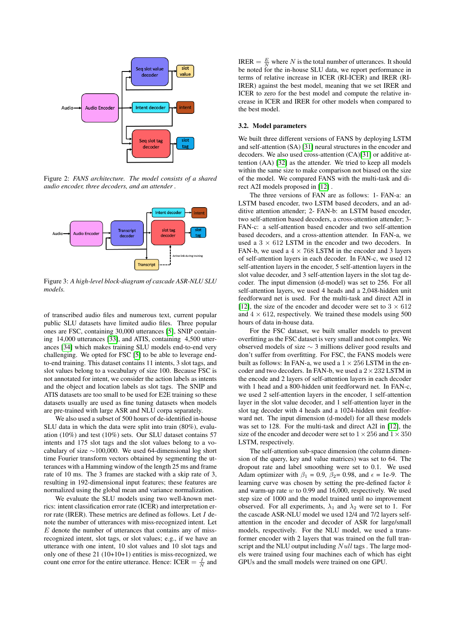<span id="page-2-0"></span>

Figure 2: *FANS architecture. The model consists of a shared audio encoder, three decoders, and an attender .*



Figure 3: *A high-level block-diagram of cascade ASR-NLU SLU models.*

of transcribed audio files and numerous text, current popular public SLU datasets have limited audio files. Three popular ones are FSC, containing 30,000 utterances [\[5\]](#page-4-0), SNIP containing 14,000 utterances [\[33\]](#page-4-20), and ATIS, containing 4,500 utterances [\[34\]](#page-4-21) which makes training SLU models end-to-end very challenging. We opted for FSC [\[5\]](#page-4-0) to be able to leverage endto-end training. This dataset contains 11 intents, 3 slot tags, and slot values belong to a vocabulary of size 100. Because FSC is not annotated for intent, we consider the action labels as intents and the object and location labels as slot tags. The SNIP and ATIS datasets are too small to be used for E2E training so these datasets usually are used as fine tuning datasets when models are pre-trained with large ASR and NLU corpa separately.

We also used a subset of 500 hours of de-identified in-house SLU data in which the data were split into train (80%), evaluation (10%) and test (10%) sets. Our SLU dataset contains 57 intents and 175 slot tags and the slot values belong to a vocabulary of size ∼100,000. We used 64-dimensional log short time Fourier transform vectors obtained by segmenting the utterances with a Hamming window of the length 25 ms and frame rate of 10 ms. The 3 frames are stacked with a skip rate of 3, resulting in 192-dimensional input features; these features are normalized using the global mean and variance normalization.

We evaluate the SLU models using two well-known metrics: intent classification error rate (ICER) and interpretation error rate (IRER). These metrics are defined as follows. Let  $I$  denote the number of utterances with miss-recognized intent. Let  $E$  denote the number of utterances that contains any of missrecognized intent, slot tags, or slot values; e.g., if we have an utterance with one intent, 10 slot values and 10 slot tags and only one of these  $21(10+10+1)$  entities is miss-recognized, we count one error for the entire utterance. Hence: ICER  $=$   $\frac{I}{N}$  and

IRER =  $\frac{E}{N}$  where N is the total number of utterances. It should be noted for the in-house SLU data, we report performance in terms of relative increase in ICER (RI-ICER) and IRER (RI-IRER) against the best model, meaning that we set IRER and ICER to zero for the best model and compute the relative increase in ICER and IRER for other models when compared to the best model.

#### 3.2. Model parameters

We built three different versions of FANS by deploying LSTM and self-attention (SA) [\[31\]](#page-4-18) neural structures in the encoder and decoders. We also used cross-attention (CA)[\[31\]](#page-4-18) or additive attention (AA) [\[32\]](#page-4-19) as the attender. We tried to keep all models within the same size to make comparison not biased on the size of the model. We compared FANS with the multi-task and direct A2I models proposed in [\[12\]](#page-4-8) .

The three versions of FAN are as follows: 1- FAN-a: an LSTM based encoder, two LSTM based decoders, and an additive attention attender; 2- FAN-b: an LSTM based encoder, two self-attention based decoders, a cross-attention attender; 3- FAN-c: a self-attention based encoder and two self-attention based decoders, and a cross-attention attender. In FAN-a, we used a  $3 \times 612$  LSTM in the encoder and two decoders. In FAN-b, we used a  $4 \times 768$  LSTM in the encoder and 3 layers of self-attention layers in each decoder. In FAN-c, we used 12 self-attention layers in the encoder, 5 self-attention layers in the slot value decoder, and 3 self-attention layers in the slot tag decoder. The input dimension (d-model) was set to 256. For all self-attention layers, we used 4 heads and a 2,048-hidden unit feedforward net is used. For the multi-task and direct A2I in [\[12\]](#page-4-8), the size of the encoder and decoder were set to  $3 \times 612$ and  $4 \times 612$ , respectively. We trained these models using 500 hours of data in-house data.

For the FSC dataset, we built smaller models to prevent overfitting as the FSC dataset is very small and not complex. We observed models of size ∼ 3 millions deliver good results and don't suffer from overfitting. For FSC, the FANS models were built as follows: In FAN-a, we used a  $1 \times 256$  LSTM in the encoder and two decoders. In FAN-b, we used a  $2 \times 232$  LSTM in the encode and 2 layers of self-attention layers in each decoder with 1 head and a 800-hidden unit feedforward net. In FAN-c, we used 2 self-attention layers in the encoder, 1 self-attention layer in the slot value decoder, and 1 self-attention layer in the slot tag decoder with 4 heads and a 1024-hidden unit feedforward net. The input dimension (d-model) for all these models was set to 128. For the multi-task and direct A2I in [\[12\]](#page-4-8), the size of the encoder and decoder were set to  $1 \times 256$  and  $1 \times 350$ LSTM, respectively.

The self-attention sub-space dimension (the column dimension of the query, key and value matrices) was set to 64. The dropout rate and label smoothing were set to 0.1. We used Adam optimizer with  $\beta_1 = 0.9$ ,  $\beta_2 = 0.98$ , and  $\epsilon = 1e-9$ . The learning curve was chosen by setting the pre-defined factor  $k$ and warm-up rate  $w$  to 0.99 and 16,000, respectively. We used step size of 1000 and the model trained until no improvement observed. For all experiments,  $\lambda_1$  and  $\lambda_2$  were set to 1. For the cascade ASR-NLU model we used 12/4 and 7/2 layers selfattention in the encoder and decoder of ASR for large/small models, respectively. For the NLU model, we used a transformer encoder with 2 layers that was trained on the full transcript and the NLU output including Null tags. The large models were trained using four machines each of which has eight GPUs and the small models were trained on one GPU.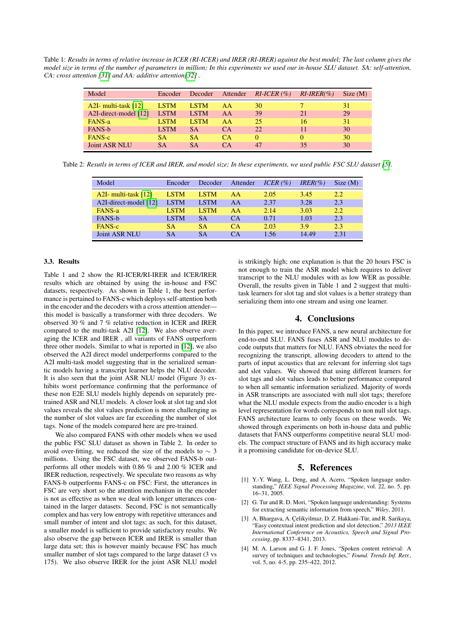Table 1: *Results in terms of relative increase in ICER (RI-ICER) and IRER (RI-IRER) against the best model; The last column gives the model size in terms of the number of parameters in million; In this experiments we used our in-house SLU dataset. SA: self-attention, CA: cross attention [\[31\]](#page-4-18) and AA: additive attention[\[32\]](#page-4-19) .*

| Model                 | Encoder     | Decoder     | Attender | $RI-ICER$ (%) | $RI-IRER(\% )$ | Size(M) |
|-----------------------|-------------|-------------|----------|---------------|----------------|---------|
| A2I- multi-task [12]  | <b>LSTM</b> | <b>LSTM</b> | AA       | 30            |                | 31      |
| A2I-direct-model [12] | <b>LSTM</b> | <b>LSTM</b> | AA       | 39            | 21             | 29      |
| FANS-a                | <b>LSTM</b> | <b>LSTM</b> | AA       | 25            | 16             | 31      |
| FANS-b                | <b>LSTM</b> | SА          | CA       | 22            |                | 30      |
| FANS-c                | 'SA         | SА          | CA       | 0             |                | 30      |
| <b>Joint ASR NLU</b>  | <b>SA</b>   | SА          | CА       | 47            | 35             | 30      |

Table 2: *Resutls in terms of ICER and IRER, and model size; In these experiments, we used public FSC SLU dataset [\[5\]](#page-4-0).*

| Model                  | Encoder     | Decoder     | Attender  | ICER(%) | $IRER(\% )$ | Size(M) |
|------------------------|-------------|-------------|-----------|---------|-------------|---------|
| A2I- multi-task $[12]$ | <b>LSTM</b> | <b>LSTM</b> | AA        | 2.05    | 3.45        | 2.2     |
| A2I-direct-model [12]  | <b>LSTM</b> | <b>LSTM</b> | AA        | 2.37    | 3.28        | 2.3     |
| FANS-a                 | <b>LSTM</b> | <b>LSTM</b> | AA        | 2.14    | 3.03        | 2.2     |
| <b>FANS-b</b>          | <b>LSTM</b> | SА          | <b>CA</b> | 0.71    | 1.03        | 2.3     |
| FANS-c                 | <b>SA</b>   | <b>SA</b>   | <b>CA</b> | 2.03    | 3.9         | 2.3     |
| <b>Joint ASR NLU</b>   | SА          | SА          | CА        | 1.56    | 14.49       | 2.31    |

### 3.3. Results

Table 1 and 2 show the RI-ICER/RI-IRER and ICER/IRER results which are obtained by using the in-house and FSC datasets, respectively. As shown in Table 1, the best performance is pertained to FANS-c which deploys self-attention both in the encoder and the decoders with a cross attention attender this model is basically a transformer with three decoders. We observed 30 % and 7 % relative reduction in ICER and IRER compared to the multi-task A2I [\[12\]](#page-4-8). We also observe averaging the ICER and IRER , all variants of FANS outperform three other models. Similar to what is reported in [\[12\]](#page-4-8), we also observed the A2I direct model underperforms compared to the A2I multi-task model suggesting that in the serialized semantic models having a transcript learner helps the NLU decoder. It is also seen that the joint ASR NLU model (Figure 3) exhibits worst performance confirming that the performance of these non E2E SLU models highly depends on separately pretrained ASR and NLU models. A closer look at slot tag and slot values reveals the slot values prediction is more challenging as the number of slot values are far exceeding the number of slot tags. None of the models compared here are pre-trained.

We also compared FANS with other models when we used the public FSC SLU dataset as shown in Table 2. In order to avoid over-fitting, we reduced the size of the models to  $\sim$  3 millions. Using the FSC dataset, we observed FANS-b outperforms all other models with 0.86 % and 2.00 % ICER and IRER reduction, respectively. We speculate two reasons as why FANS-b outperforms FANS-c on FSC: First, the utterances in FSC are very short so the attention mechanism in the encoder is not as effective as when we deal with longer utterances contained in the larger datasets. Second, FSC is not semantically complex and has very low entropy with repetitive utterances and small number of intent and slot tags; as such, for this dataset, a smaller model is sufficient to provide satisfactory results. We also observe the gap between ICER and IRER is smaller than large data set; this is however mainly because FSC has much smaller number of slot tags compared to the large dataset (3 vs 175). We also observe IRER for the joint ASR NLU model is strikingly high; one explanation is that the 20 hours FSC is not enough to train the ASR model which requires to deliver transcript to the NLU modules with as low WER as possible. Overall, the results given in Table 1 and 2 suggest that multitask learners for slot tag and slot values is a better strategy than serializing them into one stream and using one learner.

#### 4. Conclusions

In this paper, we introduce FANS, a new neural architecture for end-to-end SLU. FANS fuses ASR and NLU modules to decode outputs that matters for NLU. FANS obviates the need for recognizing the transcript, allowing decoders to attend to the parts of input acoustics that are relevant for inferring slot tags and slot values. We showed that using different learners for slot tags and slot values leads to better performance compared to when all semantic information serialized. Majority of words in ASR transcripts are associated with null slot tags; therefore what the NLU module expects from the audio encoder is a high level representation for words corresponds to non null slot tags. FANS architecture learns to only focus on these words. We showed through experiments on both in-house data and public datasets that FANS outperforms competitive neural SLU models. The compact structure of FANS and its high accuracy make it a promising candidate for on-device SLU.

# 5. References

- <span id="page-3-0"></span>[1] Y.-Y. Wang, L. Deng, and A. Acero, "Spoken language understanding," *IEEE Signal Processing Magazine*, vol. 22, no. 5, pp. 16–31, 2005.
- [2] G. Tur and R. D. Mori, "Spoken language understanding: Systems for extracting semantic information from speech," *Wiley*, 2011.
- <span id="page-3-1"></span>[3] A. Bhargava, A. Çelikyilmaz, D. Z. Hakkani-Tür, and R. Sarikaya, "Easy contextual intent prediction and slot detection," *2013 IEEE International Conference on Acoustics, Speech and Signal Processing*, pp. 8337–8341, 2013.
- <span id="page-3-2"></span>[4] M. A. Larson and G. J. F. Jones, "Spoken content retrieval: A survey of techniques and technologies," *Found. Trends Inf. Retr.*, vol. 5, no. 4-5, pp. 235–422, 2012.